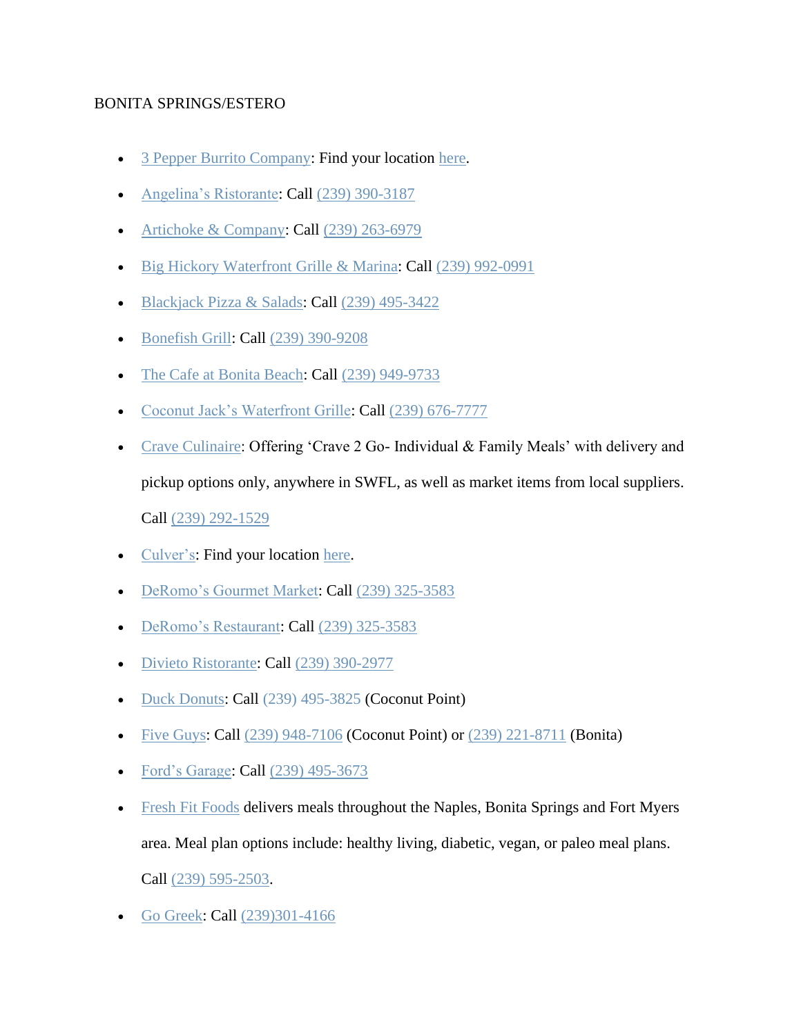## BONITA SPRINGS/ESTERO

- [3 Pepper Burrito Company:](http://3pepperburrito.com/) Find your location [here.](http://3pepperburrito.com/locations/)
- [Angelina's Ristorante:](https://angelinasofbonitasprings.com/carry-out/) Call [\(239\) 390-3187](https://www.google.com/search?q=angelinas+ristorante&rlz=1C1GGGE_enUS570US571&oq=angelinas+ristorante&aqs=chrome..69i57.4153j0j4&sourceid=chrome&ie=UTF-8)
- [Artichoke & Company:](https://www.artichokeandcompany.com/) Call [\(239\) 263-6979](https://www.google.com/search?q=artichoke+and+company&oq=artichoke+and&aqs=chrome.1.69i57j0l5.3241j0j4&sourceid=chrome&ie=UTF-8)
- [Big Hickory Waterfront Grille & Marina:](http://www.bighickory.net/) Call [\(239\) 992-0991](https://www.google.com/search?q=big+hickory&rlz=1C1GGGE_enUS570US571&oq=big+hickory+&aqs=chrome..69i57.3533j0j4&sourceid=chrome&ie=UTF-8)
- [Blackjack Pizza & Salads:](http://blackjackpizza.com/florida/location/bonita-springs/) Call [\(239\) 495-3422](https://www.google.com/search?q=blackjacks+pizza&rlz=1C1GGGE_enUS570US571&oq=blackjacks+pizza&aqs=chrome..69i57.2738j0j4&sourceid=chrome&ie=UTF-8)
- [Bonefish Grill:](https://www.bonefishgrill.com/) Call [\(239\) 390-9208](https://www.google.com/search?rlz=1C1GGGE_enUS570US571&tbm=lcl&sxsrf=ALeKk013CUrWB5XLe4ukII9toJQNFXmL2Q%3A1585240174381&ei=bth8Xo7xFsGrytMPzuqK2Ac&q=bonefish+grill&oq=bo&gs_l=psy-ab.3.0.35i39k1l3j0l4j0i131k1j0l2.425076.426310.0.427465.4.3.1.0.0.0.156.398.0j3.3.0....0...1c.1.64.psy-ab..0.4.423...0i67k1j0i10i67k1.0.v0gEYf0vFiY)
- [The Cafe at Bonita Beach:](https://www.facebook.com/TheCafeAtBonitaBeach/) Call [\(239\) 949-9733](https://www.google.com/search?q=The+Cafe+at+Bonita+Beach&rlz=1C1GGGE_enUS570US571&oq=The+Cafe+at+Bonita+Beach&aqs=chrome..69i57.796j0j7&sourceid=chrome&ie=UTF-8)
- [Coconut Jack's Waterfront Grille:](https://www.coconutjacks.com/) Call [\(239\) 676-7777](https://www.google.com/search?q=coconut+jack%27s+waterfront+grille&oq=coconut+jacks+waterfron&aqs=chrome.1.69i57j0l5.7896j0j4&sourceid=chrome&ie=UTF-8)
- [Crave Culinaire:](https://www.craveculinaire.com/crave2go/) Offering 'Crave 2 Go- Individual & Family Meals' with delivery and pickup options only, anywhere in SWFL, as well as market items from local suppliers. Call [\(239\) 292-1529](https://www.google.com/search?q=crave2go&oq=crave2go&aqs=chrome.0.69i59j69i60.1343j0j4&sourceid=chrome&ie=UTF-8)
- [Culver's:](https://www.culvers.com/) Find your location [here.](https://www.culvers.com/locator/view-all-locations)
- [DeRomo's Gourmet Market:](https://deromos.com/now-offering-curbside-service/?utm_source=Corona%20Virus&utm_campaign=Wed%20%40%2010%3A00%20AM&utm_medium=email) Call [\(239\) 325-3583](https://www.google.com/search?q=deromo+market&rlz=1C1GGGE_enUS570US571&oq=deromo+market&aqs=chrome..69i57j69i60j69i61.2278j0j4&sourceid=chrome&ie=UTF-8)
- [DeRomo's Restaurant:](https://deromos.com/now-offering-curbside-service/?utm_source=Corona%20Virus&utm_campaign=Wed%20%40%2010%3A00%20AM&utm_medium=email) Call [\(239\) 325-3583](https://www.google.com/search?rlz=1C1GGGE_enUS570US571&sxsrf=ALeKk01q6IFoDikY9Cy9uRvfBSUz8-zatQ%3A1584639375415&ei=j61zXuf-GPKc_Qb06qaIDg&q=deromo+restaurant&oq=deromo+resta&gs_l=psy-ab.3.0.0j0i20i263j0i22i30l8.19988.20514..21755...0.2..0.145.699.0j6......0....1..gws-wiz.......0i71j0i67.Ndf1FDFtTCQ)
- [Divieto Ristorante:](https://www.divietoristorante.com/) Call [\(239\) 390-2977](https://www.google.com/search?q=divieto+ristorante+estero&rlz=1C1GGGE_enUS570US571&oq=divieto&aqs=chrome.0.69i59j69i57j69i60l2j69i61.1803j0j7&sourceid=chrome&ie=UTF-8)
- [Duck Donuts:](https://www.duckdonuts.com/) Call [\(239\) 495-3825](https://www.google.com/search?q=duck%20donuts&rlz=1C1GGGE_enUS570US571&oq=duck+donuts&aqs=chrome..69i57j69i64.2389j0j4&sourceid=chrome&ie=UTF-8&sxsrf=ALeKk026P_0Q2iuRyTthXpbhjrngtutKVQ:1584627824222&npsic=0&rflfq=1&rlha=0&rllag=26371051,-81822812,19471&tbm=lcl&rldimm=16603780102165950859&lqi=CgtkdWNrIGRvbnV0cyIDiAEBWhoKC2R1Y2sgZG9udXRzIgtkdWNrIGRvbnV0cw&ved=2ahUKEwii_cDU3qboAhXmUd8KHT78BBMQvS4wCXoECAYQLA&rldoc=1&tbs=lrf:!1m4!1u3!2m2!3m1!1e1!1m4!1u16!2m2!16m1!1e1!1m4!1u16!2m2!16m1!1e2!1m5!1u15!2m2!15m1!1shas_1wheelchair_1accessible_1entrance!4e2!2m1!1e16!2m1!1e3!3sIAE,lf:1,lf_ui:4&rlst=f) (Coconut Point)
- [Five Guys:](https://www.fiveguys.com/) Call [\(239\) 948-7106](https://www.google.com/search?sxsrf=ALeKk01yZD5L3nK8zUYnZo2GdffZlM527A%3A1584995636919&ei=NB15Xp7VN67p_Qbsz6b4Aw&q=five+guys+coconut+point&oq=five+guys+co&gs_l=psy-ab.3.0.0l2j0i273j0j0i273j0l5.1127.1667..2791...0.2..0.112.301.2j1......0....1..gws-wiz.......0i71j35i39j0i20i263.Y2L7ExOVsLM) (Coconut Point) or [\(239\) 221-8711](https://www.google.com/search?sxsrf=ALeKk03ncDX5JYPxbCXH7y8XFDZtlKKCFg%3A1584995640891&ei=OB15Xt2ENu2l_Qa9qLuwDw&q=five+guys+bonita&oq=five+guys+bonita&gs_l=psy-ab.3..0l4j0i22i30l2j38.13557.14198..14325...0.2..0.101.539.5j1......0....1..gws-wiz.......0i71j0i273j0i20i263.UR8spGv1G3c&ved=0ahUKEwjdgJXxuLHoAhXtUt8KHT3UDvYQ4dUDCAs&uact=5) (Bonita)
- [Ford's Garage:](https://www.fordsgarageusa.com/locations/estero/) Call [\(239\) 495-3673](https://www.google.com/search?q=fords%20garage&rlz=1C1GGGE_enUS570US571&oq=fords+garage&aqs=chrome..69i57.1684j0j4&sourceid=chrome&ie=UTF-8&sxsrf=ALeKk012uunOPGM0TuBED4z12Ns0ddgZTg:1585016619581&npsic=0&rflfq=1&rlha=0&rllag=26541289,-81856710,14169&tbm=lcl&rldimm=2759868858344347122&lqi=Cgxmb3JkcyBnYXJhZ2UiA4gBAUjNl4Cu1JWAgAhaJAoMZm9yZHMgZ2FyYWdlEAAQARgAGAEiDGZvcmRzIGdhcmFnZQ&ved=2ahUKEwj0usqEh7LoAhXvYN8KHctqAIUQvS4wB3oECAwQHA&rldoc=1&tbs=lrf:!1m4!1u3!2m2!3m1!1e1!1m4!1u16!2m2!16m1!1e1!1m4!1u16!2m2!16m1!1e2!1m5!1u15!2m2!15m1!1shas_1wheelchair_1accessible_1entrance!4e2!2m1!1e16!2m1!1e3!3sIAE,lf:1,lf_ui:4&rlst=f)
- [Fresh Fit Foods](http://freshfitnaples.com/) delivers meals throughout the Naples, Bonita Springs and Fort Myers area. Meal plan options include: healthy living, diabetic, vegan, or paleo meal plans. Call [\(239\) 595-2503.](https://www.google.com/search?q=fresh+fit+foods&rlz=1C1GGGE_enUS570US571&oq=fresh+&aqs=chrome.0.69i59j69i57j69i59j69i60l2j69i61j69i60.1023j0j7&sourceid=chrome&ie=UTF-8)
- [Go Greek:](https://molon-labe-souvlaki.business.site/) Call [\(239\)301-4166](https://www.google.com/search?client=safari&rls=en&q=go+greek&ie=UTF-8&oe=UTF-8)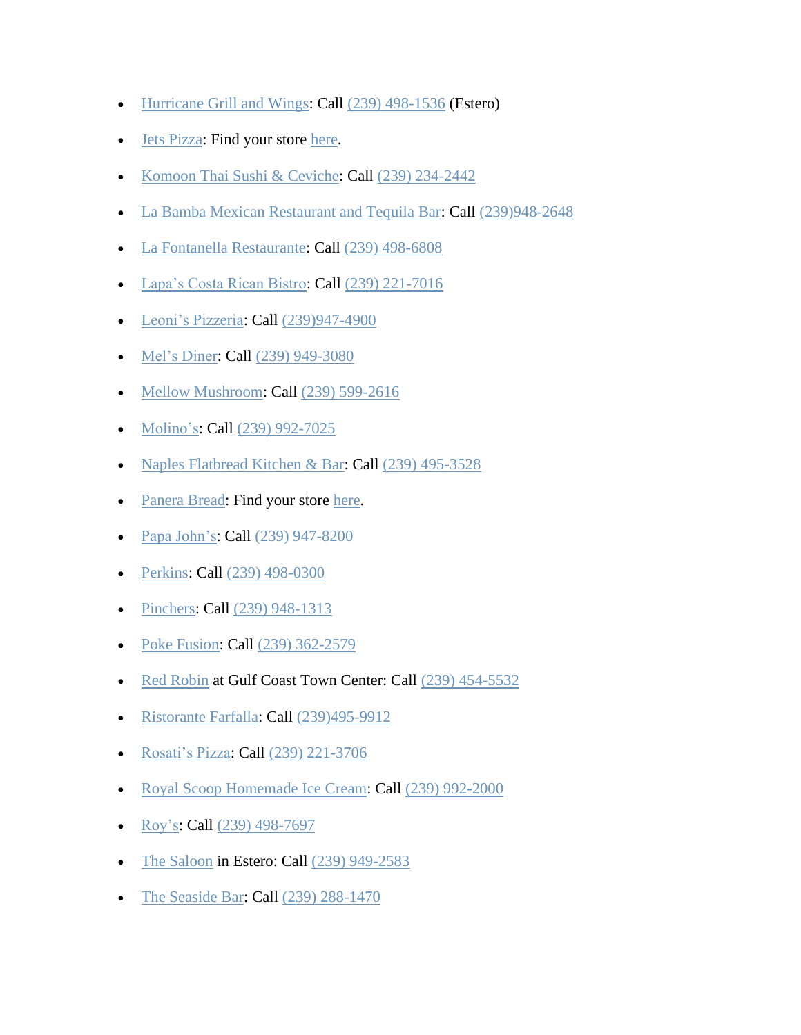- [Hurricane Grill and Wings:](https://hurricanewings.com/) Call [\(239\) 498-1536](https://www.google.com/search?q=hurricane%20wings&rlz=1C1GGGE_enUS570US571&oq=hurricane+wings&aqs=chrome..69i57.5281j0j9&sourceid=chrome&ie=UTF-8&sxsrf=ALeKk01bUV_In8VIFWJEcbbJbuYyANM31w:1584669401439&npsic=0&rflfq=1&rlha=0&rllag=26313415,-81790639,10544&tbm=lcl&rldimm=17347776100489747989&lqi=Cg9odXJyaWNhbmUgd2luZ3MiA4gBAUirxc3j54CAgAhaKgoPaHVycmljYW5lIHdpbmdzEAAQARgAGAEiD2h1cnJpY2FuZSB3aW5ncw&ved=2ahUKEwjBgonG-afoAhUHIqwKHQb9AZ0QvS4wBnoECA8QJA&rldoc=1&tbs=lrf:!1m4!1u3!2m2!3m1!1e1!1m4!1u16!2m2!16m1!1e1!1m4!1u16!2m2!16m1!1e2!1m5!1u15!2m2!15m1!1shas_1takeout!4e2!1m5!1u15!2m2!15m1!1shas_1wheelchair_1accessible_1entrance!4e2!2m1!1e16!2m1!1e3!3sIAE,lf:1,lf_ui:4&rlst=f) (Estero)
- [Jets Pizza:](https://www.jetspizza.com/announcements/announcement/covid19) Find your store [here.](https://www.jetspizza.com/stores/zip)
- [Komoon Thai Sushi & Ceviche:](http://www.komoonthai.com/) Call [\(239\) 234-2442](https://www.google.com/search?q=komoon+bonita&rlz=1C1GGGE_enUS570US571&oq=komoon+bonita&aqs=chrome..69i57.3713j0j9&sourceid=chrome&ie=UTF-8)
- [La Bamba Mexican Restaurant and Tequila Bar:](https://labambarestaurantbar.com/) Call [\(239\)948-2648](https://www.google.com/search?client=safari&rls=en&q=la+bamba+miromar+outlets&ie=UTF-8&oe=UTF-8)
- [La Fontanella Restaurante:](http://www.lafontanellarestaurant.net/) Call [\(239\) 498-6808](https://www.google.com/search?q=la+fontanella+restaurant&oq=la+fontanella+re&aqs=chrome.0.0l2j69i57j0l3.5325j0j7&sourceid=chrome&ie=UTF-8)
- [Lapa's Costa Rican Bistro:](https://www.lapascr.com/) Call [\(239\) 221-7016](https://www.google.com/search?q=lapas+costa+rican+bistro&rlz=1C1GGGE_enUS570US571&oq=lapas+costa+rican+bistro&aqs=chrome..69i57.3690j0j7&sourceid=chrome&ie=UTF-8)
- [Leoni's Pizzeria:](http://www.leonispizza.com/) Call [\(239\)947-4900](https://www.google.com/search?client=safari&rls=en&q=leoni%27s%20pizzeria&ie=UTF-8&oe=UTF-8&sxsrf=ALeKk02ZOuiPOHVDHzCh2Rldui82_Ehthw:1586986347701&npsic=0&rflfq=1&rlha=0&rllag=26359765,-81814692,11360&tbm=lcl&rldimm=5745109524474844234&lqi=ChBsZW9uaSdzIHBpenplcmlhIgOIAQFI0eXfnKCugIAIWiwKEGxlb25pJ3MgcGl6emVyaWEQABABGAAYASIQbGVvbmkncyBwaXp6ZXJpYQ&ved=2ahUKEwjfipLssOvoAhVqiOAKHUluCVUQvS4wA3oECAsQKw&rldoc=1&tbs=lrf:!1m4!1u3!2m2!3m1!1e1!1m5!1u15!2m2!15m1!1shas_1wheelchair_1accessible_1entrance!4e2!2m1!1e3!3sIAE,lf:1,lf_ui:4&rlst=f)
- [Mel's Diner:](https://melsdiners.com/) Call [\(239\) 949-3080](https://www.google.com/search?sxsrf=ALeKk03fzRW-ppkLfs_Dys1rBo5AyU9_qg%3A1584990419410&ei=0wh5Xt_ZGIbitQX474XYDQ&q=mel%27s+diner+bonita&oq=mel%27s+diner+bonita&gs_l=psy-ab.3..0l9.38533.39375..39490...0.2..0.255.783.3j2j1......0....1..gws-wiz.......0i71.FW8ykRyeKuw&ved=0ahUKEwifj6-3pbHoAhUGca0KHfh3AdsQ4dUDCAs&uact=5)
- [Mellow Mushroom:](https://mellowmushroom.com/) Call [\(239\) 599-2616](https://www.google.com/search?q=mellow%20mushroom&rlz=1C1GGGE_enUS570US571&oq=mellow&aqs=chrome.0.69i59j69i57j69i60l2.1219j0j7&sourceid=chrome&ie=UTF-8&sxsrf=ALeKk01yx8xruhSS26hkx-HMNL8x-fXfPg:1585015880560&npsic=0&rflfq=1&rlha=0&rllag=26499655,-81806972,6213&tbm=lcl&rldimm=2966432720914779734&lqi=Cg9tZWxsb3cgbXVzaHJvb20iA4gBAUi_8YzM8q6AgAhaKgoPbWVsbG93IG11c2hyb29tEAAQARgAGAEiD21lbGxvdyBtdXNocm9vbQ&ved=2ahUKEwihq5ikhLLoAhVomeAKHQ0JDX0QvS4wB3oECBIQHA&rldoc=1&tbs=lrf:!1m4!1u3!2m2!3m1!1e1!1m4!1u16!2m2!16m1!1e1!1m4!1u16!2m2!16m1!1e2!1m4!1u15!2m2!15m1!1shas_1takeout!1m5!1u15!2m2!15m1!1shas_1wheelchair_1accessible_1entrance!4e2!2m1!1e16!2m1!1e3!3sIAE,lf:1,lf_ui:4&rlst=f)
- [Molino's:](https://molinosrestaurant.com/) Call [\(239\) 992-7025](https://www.google.com/search?ei=4pmPXoejAojwsQXMhp94&q=molinos&oq=molinos&gs_lcp=CgZwc3ktYWIQAzICCAAyBAgAEEMyAggAMgIIADICCAAyAggAMgIIADICCAAyAggAMgIIADoECAAQRzoFCAAQgwE6BQgAEJECOgQIABAKSiIIFxIeMGc5M2cxMDRnOTJnMTA0Zzg4Zzk2Zzg4ZzEyLTEzShgIGBIUMGcxZzJnMWcxZzFnMmcyZzEyLTVQ3tAPWJOLEGCAmBBoA3AFeACAAWmIAYUHkgEDOS4xmAEAoAEBqgEHZ3dzLXdpeg&sclient=psy-ab&ved=0ahUKEwiHnMXuqtzoAhUIeKwKHUzDBw8Q4dUDCAw&uact=5)
- [Naples Flatbread Kitchen & Bar:](https://www.naplesflatbread.com/) Call [\(239\) 495-3528](https://www.google.com/search?q=naples+flatbread+estero&rlz=1C1GGGE_enUS570US571&oq=naples+flatbread+estero&aqs=chrome..69i57.3939j0j9&sourceid=chrome&ie=UTF-8)
- [Panera Bread:](https://www.panerabread.com/en-us/home.html) Find your store [here.](https://delivery.panerabread.com/cafeLocations/)
- [Papa John's:](https://www.papajohns.com/) Call [\(239\) 947-8200](https://scanmail.trustwave.com/?c=4062&d=jq-E3gz9I_oaRDj_9-85Y9bQaZLbvfwOtW7L1twB_Q&s=1508&u=https%3a%2f%2fwww%2egoogle%2ecom%2fsearch%3frlz%3d1C1CHBF%5fenUS854US854%26sxsrf%3dALeKk011ZpCEYS%5ftzjUnF4qTrwSLRIRxeA%253A1585749848969%26ei%3dWJ-EXtvTOsqJggeZ4buQCA%26q%3dpapa%2bjohn%2bbonita%2bsprings%26oq%3dpapa%2bjohn%2bbonita%2bsprings%26gs%5flcp%3dCgZwc3ktYWIQAzIECAAQDTIECAAQDTIGCAAQFhAeMgYIABAWEB4yBggAEBYQHjIICAAQFhAKEB4yAggmMgUIABDNAjIFCAAQzQIyBQgAEM0COgQIABBHOgIIADoECAAQCjoHCAAQFBCHAjoKCAAQCBANEAoQHjoFCCEQoAFQhrO9AVjOyL0BYJ3KvQFoBXADeACAAZoBiAG1EJIBBDIuMTeYAQCgAQGqAQdnd3Mtd2l6%26sclient%3dpsy-ab%26ved%3d0ahUKEwjb38zDssfoAhXKhOAKHZnwDoIQ4dUDCAs%26uact%3d5)
- [Perkins:](https://stores.perkinsrestaurants.com/us/fl/bonita-springs/27941-crown-lake-blvd.html) Call [\(239\) 498-0300](https://www.google.com/search?q=perkins+bonita&rlz=1C1GGGE_enUS570US571&oq=perkins+bonita&aqs=chrome..69i57.2028j0j7&sourceid=chrome&ie=UTF-8)
- [Pinchers:](https://www.pinchersusa.com/) Call [\(239\) 948-1313](https://www.google.com/search?q=pinchers+bonita&oq=pinchers+bonita&aqs=chrome..69i57j0l7.2913j0j4&sourceid=chrome&ie=UTF-8)
- [Poke Fusion:](https://pokefusionswfl.com/) Call [\(239\) 362-2579](https://www.google.com/search?q=poke+fushion&rlz=1C1GGGE_enUS570US571&oq=poke+fushion&aqs=chrome..69i57.1561j0j9&sourceid=chrome&ie=UTF-8)
- [Red Robin](https://www.redrobin.com/) at Gulf Coast Town Center: Call [\(239\) 454-5532](https://www.google.com/search?q=red+robin+gulf+coast+town+center&rlz=1C1GGGE_enUS570US571&oq=red+robin+gulf+coast+town+center&aqs=chrome..69i57.6983j0j7&sourceid=chrome&ie=UTF-8)
- [Ristorante Farfalla:](http://ristorantefarfalla.com/) Call [\(239\)495-9912](https://www.google.com/search?client=safari&rls=en&q=ristorante+farfalla&ie=UTF-8&oe=UTF-8)
- [Rosati's Pizza:](https://myrosatis.com/estero/) Call [\(239\) 221-3706](https://www.google.com/search?q=rosatis+estero&rlz=1C1GGGE_enUS570US571&oq=rosati&aqs=chrome.0.69i59j69i57j69i59l2.2704j0j7&sourceid=chrome&ie=UTF-8)
- [Royal Scoop Homemade Ice Cream:](https://www.royalscoop.com/) Call [\(239\) 992-2000](https://www.google.com/search?q=Royal%20Scoop%20Homemade%20Ice%20Cream&rlz=1C1GGGE_enUS570US571&oq=Royal+Scoop+Homemade+Ice+Cream&aqs=chrome..69i57.258j0j4&sourceid=chrome&ie=UTF-8&sxsrf=ALeKk03APNW2Ab2ihN6zeAkJ8a8gEONSog:1585078017478&npsic=0&rflfq=1&rlha=0&rllag=26240178,-81770231,10528&tbm=lcl&rldimm=10898678202288140125&lqi=Ch5Sb3lhbCBTY29vcCBIb21lbWFkZSBJY2UgQ3JlYW0iA4gBAUj9vIS95YCAgAhaVAoecm95YWwgc2Nvb3AgaG9tZW1hZGUgaWNlIGNyZWFtEAAQARACEAMQBBgAGAEYAhgDGAQiHnJveWFsIHNjb29wIGhvbWVtYWRlIGljZSBjcmVhbQ&ved=2ahUKEwi-4LDh67PoAhXqnuAKHeS4ClYQvS4wBHoECAsQIw&rldoc=1&tbs=lrf:!1m4!1u3!2m2!3m1!1e1!1m4!1u16!2m2!16m1!1e1!1m4!1u16!2m2!16m1!1e2!1m5!1u15!2m2!15m1!1shas_1wheelchair_1accessible_1entrance!4e2!2m1!1e16!2m1!1e3!3sIAE,lf:1,lf_ui:4&rlst=f)
- [Roy's:](https://www.roysrestaurant.com/locations/fl/bonita-springs) Call [\(239\) 498-7697](https://www.google.com/search?rlz=1C1GGGE_enUS570US571&sxsrf=ALeKk014T6oBSM3NRHeRkmYpe-pppSWpig%3A1585873768798&ei=aIOGXsSWMK2k_QaexYmwBA&q=roys+restaurant+bonita+springs&oq=roys+restaurant+bonita+springs&gs_lcp=CgZwc3ktYWIQAzICCAAyAggAMgIIADIGCAAQFhAeMgYIABAWEB4yBggAEBYQHjIGCAAQFhAeMgIIJjICCCYyBQgAEM0COgQIABBHOgQIABAKOgcIABAUEIcCUO4UWOMlYPYmaABwAngBgAHUAYgBtQ6SAQYyLjExLjKYAQCgAQGqAQdnd3Mtd2l6&sclient=psy-ab&ved=0ahUKEwjE6paVgMvoAhUtUt8KHZ5iAkYQ4dUDCAs&uact=5)
- [The Saloon](https://www.thesaloon.net/) in Estero: Call [\(239\) 949-2583](https://www.google.com/search?q=the+saloon+restaurant&rlz=1C1GGGE_enUS570US571&oq=the+sal&aqs=chrome.0.69i59j69i57j69i60.1265j0j9&sourceid=chrome&ie=UTF-8)
- [The Seaside Bar:](https://www.theseasidebar.com/) Call [\(239\) 288-1470](https://www.google.com/search?q=the+seaside+bar+bonita+springs&rlz=1C1GGGE_enUS570US571&oq=the+seaside+bar+bonita+springs&aqs=chrome..69i57.8937j0j9&sourceid=chrome&ie=UTF-8)